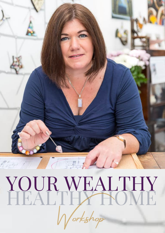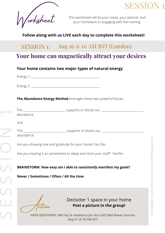



This worksheet will be your notes, your planner and your homework to engaging with the training.

#### **Follow along with us LIVE each day to complete this worksheet!**

## SESSION 1: Aug 16 @ 10 AM BST (London)

## **Your home can magnetically attract your desires**

#### **Your home contains two major types of natural energy**

Energy 1: \_\_\_\_\_\_\_\_\_\_\_\_\_\_\_\_\_\_\_\_\_\_\_\_\_\_\_\_\_\_\_\_\_\_\_\_\_\_\_\_\_\_\_\_\_\_\_\_\_\_

Energy 2:

**The Abundance Energy Method** leverages these two powerful forces:

| Are you showing love and gratitude for your home? Yes /No              |  |  |  |  |
|------------------------------------------------------------------------|--|--|--|--|
| Are you treating it as somewhere to sleep and store your stuff? Yes/No |  |  |  |  |
| BRAINSTORM: How easy am I able to consistently manifest my goals?      |  |  |  |  |
| Never / Sometimes / Often / All the time                               |  |  |  |  |
|                                                                        |  |  |  |  |
|                                                                        |  |  |  |  |

Action

 $\cup$ 

E

 $\cup$ 

 $\cup$ 

 $\cup$ 

 $\overline{\phantom{a}}$ 

Declutter 1 space in your home **Post a picture in the group!**

*HAVE QUESTIONS: DM Fay in readiness for the LIVE Q&A Bonus Session Aug 21 @ 10 AM BST*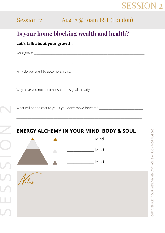# SESSION 2

# Session 2: Aug 17 @ 10am BST (London)

## **Is your home blocking wealth and health?**

\_\_\_\_\_\_\_\_\_\_\_\_\_\_\_\_\_\_\_\_\_\_\_\_\_\_\_\_\_\_\_\_\_\_\_\_\_\_\_\_\_\_\_\_\_\_\_\_\_\_\_\_\_\_\_\_\_\_\_\_\_\_\_\_\_\_\_\_\_\_\_\_\_\_\_\_\_\_\_\_\_\_\_\_\_\_\_\_\_\_\_\_\_

\_\_\_\_\_\_\_\_\_\_\_\_\_\_\_\_\_\_\_\_\_\_\_\_\_\_\_\_\_\_\_\_\_\_\_\_\_\_\_\_\_\_\_\_\_\_\_\_\_\_\_\_\_\_\_\_\_\_\_\_\_\_\_\_\_\_\_\_\_\_\_\_\_\_\_\_\_\_\_\_\_\_\_\_\_\_\_\_\_\_\_\_\_

\_\_\_\_\_\_\_\_\_\_\_\_\_\_\_\_\_\_\_\_\_\_\_\_\_\_\_\_\_\_\_\_\_\_\_\_\_\_\_\_\_\_\_\_\_\_\_\_\_\_\_\_\_\_\_\_\_\_\_\_\_\_\_\_\_\_\_\_\_\_\_\_\_\_\_\_\_\_\_\_\_\_\_\_\_\_\_\_\_\_\_\_\_

\_\_\_\_\_\_\_\_\_\_\_\_\_\_\_\_\_\_\_\_\_\_\_\_\_\_\_\_\_\_\_\_\_\_\_\_\_\_\_\_\_\_\_\_\_\_\_\_\_\_\_\_\_\_\_\_\_\_\_\_\_\_\_\_\_\_\_\_\_\_\_\_\_\_\_\_\_\_\_\_\_\_\_\_\_\_\_\_\_\_\_\_

#### **Let's talk about your growth:**

Your goals: \_\_\_\_\_\_\_\_\_\_\_\_\_\_\_\_\_\_\_\_\_\_\_\_\_\_\_\_\_\_\_\_\_\_\_\_\_\_\_\_\_\_\_\_\_\_\_\_\_\_\_\_\_\_\_\_\_\_\_\_\_\_\_\_\_\_\_\_\_\_\_\_\_\_\_\_\_\_\_\_\_

E

 $\mathcal{L}$ 

 $\mathcal{L}$ 

 $\sim$ 

Why do you want to accomplish this: \_\_\_\_\_\_\_\_\_\_\_\_\_\_\_\_\_\_\_\_\_\_\_\_\_\_\_\_\_\_\_\_\_\_\_\_\_\_\_\_\_\_\_\_\_\_\_\_\_\_\_\_\_

Why have you not accomplished this goal already: \_\_\_\_\_\_\_\_\_\_\_\_\_\_\_\_\_\_\_\_\_\_\_\_\_\_\_\_\_\_\_

What will be the cost to you if you don't move forward? \_\_\_\_\_\_\_\_\_\_\_\_\_\_\_\_\_\_\_\_\_\_\_\_

### **ENERGY ALCHEMY IN YOUR MIND, BODY & SOUL**



FAY SEMPLE | YOUR WEALTHY HEALTHY HOME WORKSHSHOP AUG 2021 © FAY SEMPLE | YOUR WEALTHY HEALTHY HOME WORKSHSHOP AUG 2021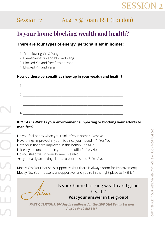# SESSIO

# Session 2: Aug 17 @ 10am BST (London)

## **Is your home blocking wealth and health?**

#### **There are four types of energy 'personalities' in homes:**

- 1. Free-flowing Yin & Yang
- 2. Free-flowing Yin and blocked Yang
- 3. Blocked Yin and free-flowing Yang
- 4. Blocked Yin and Yang

#### **How do these personalities show up in your wealth and health?**

| 2. |  |
|----|--|
|    |  |
|    |  |

#### **KEY TAKEAWAY: Is your environment supporting or blocking your efforts to manifest?**

 Are you easily attracting clients to your business? Yes/No Is it easy to concentrate in your home office? Yes/No Do you feel happy when you think of your home? Yes/No Have things improved in your life since you moved in? Yes/No Have your finances improved in this home? Yes/No Do you sleep well in your home? Yes/No

Mostly Yes: Your house is supportive (but there is always room for improvement) Mostly No: Your house is unsupportive (and you're in the right place to fix this!)

Action

E

 $\cup$ 

 $\mathcal{L}$ 

 $\sim$ 

Is your home blocking wealth and good health? **Post your answer in the group!**

*HAVE QUESTIONS: DM Fay in readiness for the LIVE Q&A Bonus Session Aug <sup>21</sup> @ <sup>10</sup> AM BMT* S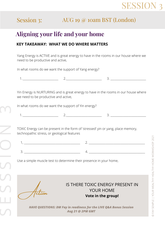

# Session 3: AUG 19 @ 10am BST (London)

## **Aligning your life and your home**

#### **KEY TAKEAWAY: WHAT WE DO WHERE MATTERS**

Yang Energy is ACTIVE and is great energy to have in the rooms in our house where we need to be productive and active,

In what rooms do we want the support of Yang energy?

\_\_\_\_\_\_\_\_\_\_\_\_\_\_\_\_\_\_\_\_\_\_\_\_\_\_ 2.\_\_\_\_\_\_\_\_\_\_\_\_\_\_\_\_\_\_\_\_\_\_\_\_\_\_ 3. \_\_\_\_\_\_\_\_\_\_\_\_\_\_\_\_\_\_\_\_\_\_\_\_\_\_ 1.

Yin Energy is NURTURING and is great energy to have in the rooms in our house where we need to be productive and active,

In what rooms do we want the support of Yin energy?

 1. \_\_\_\_\_\_\_\_\_\_\_\_\_\_\_\_\_\_\_\_\_\_\_\_\_\_ 2.\_\_\_\_\_\_\_\_\_\_\_\_\_\_\_\_\_\_\_\_\_\_\_\_\_\_ 3. \_\_\_\_\_\_\_\_\_\_\_\_\_\_\_\_\_\_\_\_\_\_\_\_\_\_

TOXIC Energy can be present in the form of 'stressed' yin or yang, place memory, technopathic stress, or geological features

Use a simple muscle test to determine their presence in your home,

Action

E

 $\cup$ 

 $\cup$ 

 $\mathbf{C}$ 

IS THERE TOXIC ENERGY PRESENT IN YOUR HOME **Vote in the group!**

*HAVE QUESTIONS: DM Fay in readiness for the LIVE Q&A Bonus Session Aug 21 @ 2PM GMT*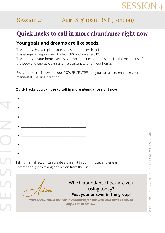# **SESSION**

# Session 4: Aug 18 @ 10am BST (London)

## **Quick hacks to call in more abundance right now**

#### **Your goals and dreams are like seeds.**

The energy that you plant your seeds in is the fertile soil. This energy is responsive. It affects **US** and we affect **IT**. The energy in your home carries Gia consciousness, its lines are like the meridians of the body and energy clearing is like acupuncture for your home.

Every home has its own unique POWER CENTRE that you can use to enhance your manifestations and intentions.

#### **Quick hacks you can use to call in more abundance right now**

 Commit tonight to taking one action from the list.Taking 1 small action can create a big shift in our mindset and energy.

Action

 $\cup$ 

E

 $\cup$ 

 $\cup$ 

 $\mathbf{\Omega}$ 

4

Which abundance hack are you using today? **Post your answer in the group!**

*HAVE QUESTIONS: DM Fay in readiness for the LIVE Q&A Bonus Session Aug 21 @ 10 AM BST*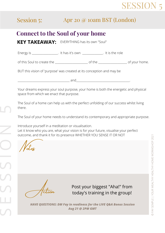# SESSIO

# Session 5: Apr 20 @ 10am BST (London)

## **Connect to the Soul of your home**

**KEY TAKEAWAY:** EVERYTHING has its own "Soul"

| It is the role<br>$\overline{\phantom{0}}$<br>It has it's own<br>Energy is |  |
|----------------------------------------------------------------------------|--|
|----------------------------------------------------------------------------|--|

of this Soul to create the \_\_\_\_\_\_\_\_\_\_\_\_\_\_\_\_\_\_\_\_\_\_\_\_ of the \_\_\_\_\_\_\_\_\_\_\_\_\_\_\_\_\_\_\_\_\_ of your home.

BUT this vision of 'purpose' was created at its conception and may be

 $and$ 

Your dreams express your soul purpose, your home is both the energetic and physical space from which we enact that purpose.

The Soul of a home can help us with the perfect unfolding of our success whilst living there.

The Soul of your home needs to understand its contemporary and appropriate purpose.

 outcome, and thank it for its presence WHETHER YOU SENSE IT OR NOT Introduce yourself in a meditation or visualisation. Let it know who you are, what your vision is for your future, visualise your perfect

Notes

 $\mathcal{L}$ 

E

 $\mathcal{L}$ 

 $\mathcal{L}$ 

 $\mathbf{\Omega}$ 

 $\Box$ 

Action

Post your biggest "Aha!" from today's training in the group!

*HAVE QUESTIONS: DM Fay in readiness for the LIVE Q&A Bonus Session Aug 21 @ 2PM GMT*